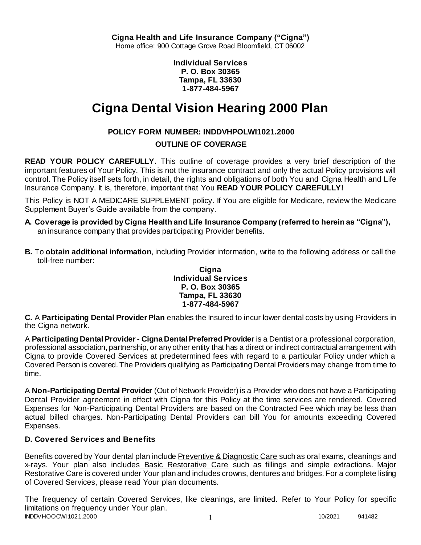**Individual Services P. O. Box 30365 Tampa, FL 33630 1-877-484-5967**

# **Cigna Dental Vision Hearing 2000 Plan**

# **POLICY FORM NUMBER: INDDVHPOLWI1021.2000**

### **OUTLINE OF COVERAGE**

**READ YOUR POLICY CAREFULLY.** This outline of coverage provides a very brief description of the important features of Your Policy. This is not the insurance contract and only the actual Policy provisions will control. The Policy itself sets forth, in detail, the rights and obligations of both You and Cigna Health and Life Insurance Company. It is, therefore, important that You **READ YOUR POLICY CAREFULLY!** 

This Policy is NOT A MEDICARE SUPPLEMENT policy. If You are eligible for Medicare, review the Medicare Supplement Buyer's Guide available from the company.

- **A. Coverage is provided by Cigna Health and Life Insurance Company (referred to herein as "Cigna"),**  an insurance company that provides participating Provider benefits.
- **B.** To **obtain additional information**, including Provider information, write to the following address or call the toll-free number:

#### **Cigna Individual Services P. O. Box 30365 Tampa, FL 33630 1-877-484-5967**

**C.** A **Participating Dental Provider Plan** enables the Insured to incur lower dental costs by using Providers in the Cigna network.

A **Participating Dental Provider - Cigna Dental Preferred Provider** is a Dentist or a professional corporation, professional association, partnership, or any other entity that has a direct or indirect contractual arrangement with Cigna to provide Covered Services at predetermined fees with regard to a particular Policy under which a Covered Person is covered. The Providers qualifying as Participating Dental Providers may change from time to time.

A **Non-Participating Dental Provider** (Out of Network Provider) is a Provider who does not have a Participating Dental Provider agreement in effect with Cigna for this Policy at the time services are rendered. Covered Expenses for Non-Participating Dental Providers are based on the Contracted Fee which may be less than actual billed charges. Non-Participating Dental Providers can bill You for amounts exceeding Covered Expenses.

# **D. Covered Services and Benefits**

Benefits covered by Your dental plan include Preventive & Diagnostic Care such as oral exams, cleanings and x-rays. Your plan also includes Basic Restorative Care such as fillings and simple extractions. Major Restorative Care is covered under Your plan and includes crowns, dentures and bridges. For a complete listing of Covered Services, please read Your plan documents.

INDDVHOOCWI1021.2000 1 10/2021 941482 The frequency of certain Covered Services, like cleanings, are limited. Refer to Your Policy for specific limitations on frequency under Your plan.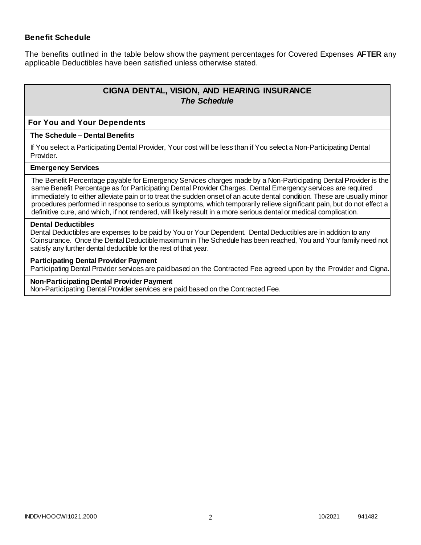### **Benefit Schedule**

The benefits outlined in the table below show the payment percentages for Covered Expenses **AFTER** any applicable Deductibles have been satisfied unless otherwise stated.

# **CIGNA DENTAL, VISION, AND HEARING INSURANCE** *The Schedule*

#### **For You and Your Dependents**

#### **The Schedule – Dental Benefits**

If You select a Participating Dental Provider, Your cost will be less than if You select a Non-Participating Dental Provider.

#### **Emergency Services**

The Benefit Percentage payable for Emergency Services charges made by a Non-Participating Dental Provider is the same Benefit Percentage as for Participating Dental Provider Charges. Dental Emergency services are required immediately to either alleviate pain or to treat the sudden onset of an acute dental condition. These are usually minor procedures performed in response to serious symptoms, which temporarily relieve significant pain, but do not effect a definitive cure, and which, if not rendered, will likely result in a more serious dental or medical complication.

#### **Dental Deductibles**

Dental Deductibles are expenses to be paid by You or Your Dependent. Dental Deductibles are in addition to any Coinsurance. Once the Dental Deductible maximum in The Schedule has been reached, You and Your family need not satisfy any further dental deductible for the rest of that year.

#### **Participating Dental Provider Payment**

Participating Dental Provider services are paid based on the Contracted Fee agreed upon by the Provider and Cigna.

#### **Non-Participating Dental Provider Payment**

Non-Participating Dental Provider services are paid based on the Contracted Fee.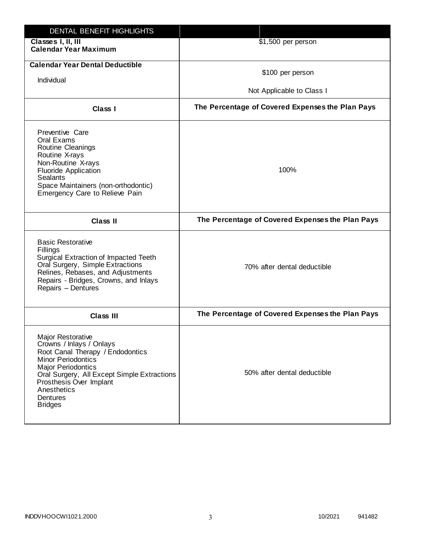| DENTAL BENEFIT HIGHLIGHTS                                                                                                                                                                                                                                                 |                                                  |
|---------------------------------------------------------------------------------------------------------------------------------------------------------------------------------------------------------------------------------------------------------------------------|--------------------------------------------------|
| Classes I, II, III<br><b>Calendar Year Maximum</b>                                                                                                                                                                                                                        | \$1,500 per person                               |
| <b>Calendar Year Dental Deductible</b><br>Individual                                                                                                                                                                                                                      | \$100 per person<br>Not Applicable to Class I    |
| Class I                                                                                                                                                                                                                                                                   | The Percentage of Covered Expenses the Plan Pays |
| Preventive Care<br>Oral Exams<br>Routine Cleanings<br>Routine X-rays<br>Non-Routine X-rays<br><b>Fluoride Application</b><br><b>Sealants</b><br>Space Maintainers (non-orthodontic)<br>Emergency Care to Relieve Pain                                                     | 100%                                             |
| <b>Class II</b>                                                                                                                                                                                                                                                           | The Percentage of Covered Expenses the Plan Pays |
| <b>Basic Restorative</b><br>Fillings<br>Surgical Extraction of Impacted Teeth<br>Oral Surgery, Simple Extractions<br>Relines, Rebases, and Adjustments<br>Repairs - Bridges, Crowns, and Inlays<br>Repairs - Dentures                                                     | 70% after dental deductible                      |
| <b>Class III</b>                                                                                                                                                                                                                                                          | The Percentage of Covered Expenses the Plan Pays |
| <b>Major Restorative</b><br>Crowns / Inlays / Onlays<br>Root Canal Therapy / Endodontics<br><b>Minor Periodontics</b><br><b>Major Periodontics</b><br>Oral Surgery, All Except Simple Extractions<br>Prosthesis Over Implant<br>Anesthetics<br>Dentures<br><b>Bridges</b> | 50% after dental deductible                      |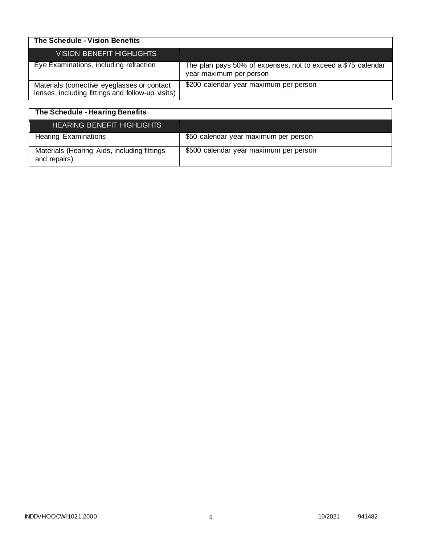| The Schedule - Vision Benefits                                                                  |                                                                                         |
|-------------------------------------------------------------------------------------------------|-----------------------------------------------------------------------------------------|
| VISION BENEFIT HIGHLIGHTS                                                                       |                                                                                         |
| Eye Examinations, including refraction                                                          | The plan pays 50% of expenses, not to exceed a \$75 calendar<br>year maximum per person |
| Materials (corrective eyeglasses or contact<br>lenses, including fittings and follow-up visits) | \$200 calendar year maximum per person                                                  |

| The Schedule - Hearing Benefits                             |                                        |
|-------------------------------------------------------------|----------------------------------------|
| <b>HEARING BENEFIT HIGHLIGHTS</b>                           |                                        |
| <b>Hearing Examinations</b>                                 | \$50 calendar year maximum per person  |
| Materials (Hearing Aids, including fittings<br>and repairs) | \$500 calendar year maximum per person |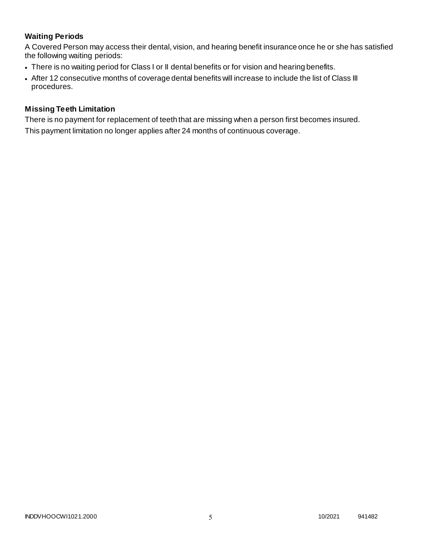# **Waiting Periods**

A Covered Person may access their dental, vision, and hearing benefit insurance once he or she has satisfied the following waiting periods:

- There is no waiting period for Class I or II dental benefits or for vision and hearing benefits.
- After 12 consecutive months of coverage dental benefits will increase to include the list of Class III procedures.

### **Missing Teeth Limitation**

There is no payment for replacement of teeth that are missing when a person first becomes insured. This payment limitation no longer applies after 24 months of continuous coverage.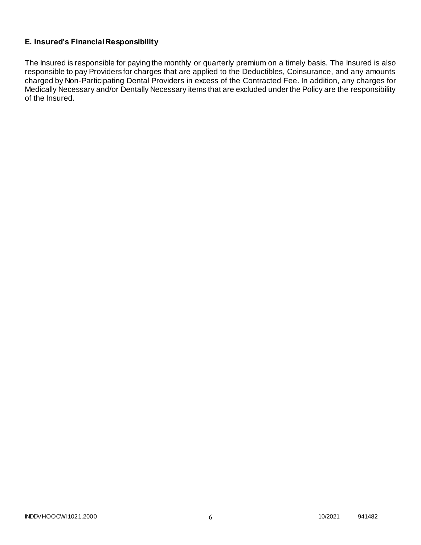### **E. Insured's Financial Responsibility**

The Insured is responsible for paying the monthly or quarterly premium on a timely basis. The Insured is also responsible to pay Providers for charges that are applied to the Deductibles, Coinsurance, and any amounts charged by Non-Participating Dental Providers in excess of the Contracted Fee. In addition, any charges for Medically Necessary and/or Dentally Necessary items that are excluded under the Policy are the responsibility of the Insured.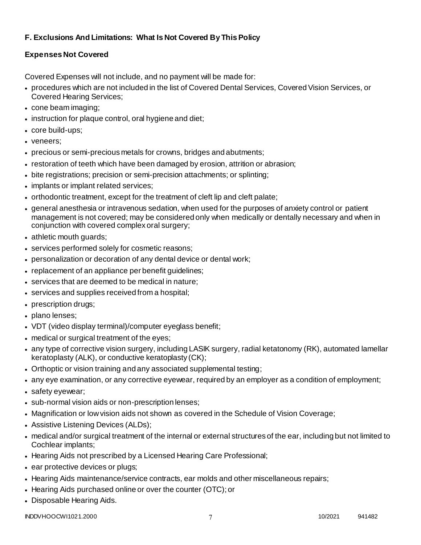# **F. Exclusions And Limitations: What Is Not Covered By This Policy**

# **Expenses Not Covered**

Covered Expenses will not include, and no payment will be made for:

- procedures which are not included in the list of Covered Dental Services, Covered Vision Services, or Covered Hearing Services;
- cone beam imaging;
- instruction for plaque control, oral hygiene and diet;
- core build-ups;
- veneers;
- precious or semi-precious metals for crowns, bridges and abutments;
- restoration of teeth which have been damaged by erosion, attrition or abrasion;
- bite registrations; precision or semi-precision attachments; or splinting;
- implants or implant related services;
- orthodontic treatment, except for the treatment of cleft lip and cleft palate;
- general anesthesia or intravenous sedation, when used for the purposes of anxiety control or patient management is not covered; may be considered only when medically or dentally necessary and when in conjunction with covered complex oral surgery;
- athletic mouth guards;
- services performed solely for cosmetic reasons;
- personalization or decoration of any dental device or dental work;
- replacement of an appliance per benefit guidelines;
- services that are deemed to be medical in nature;
- services and supplies received from a hospital;
- prescription drugs;
- plano lenses:
- VDT (video display terminal)/computer eyeglass benefit;
- medical or surgical treatment of the eyes;
- any type of corrective vision surgery, including LASIK surgery, radial ketatonomy (RK), automated lamellar keratoplasty (ALK), or conductive keratoplasty (CK);
- Orthoptic or vision training and any associated supplemental testing;
- any eye examination, or any corrective eyewear, required by an employer as a condition of employment;
- safety eyewear;
- sub-normal vision aids or non-prescription lenses;
- Magnification or low vision aids not shown as covered in the Schedule of Vision Coverage;
- Assistive Listening Devices (ALDs);
- medical and/or surgical treatment of the internal or external structures of the ear, including but not limited to Cochlear implants;
- Hearing Aids not prescribed by a Licensed Hearing Care Professional;
- ear protective devices or plugs;
- Hearing Aids maintenance/service contracts, ear molds and other miscellaneous repairs;
- Hearing Aids purchased online or over the counter (OTC); or
- Disposable Hearing Aids.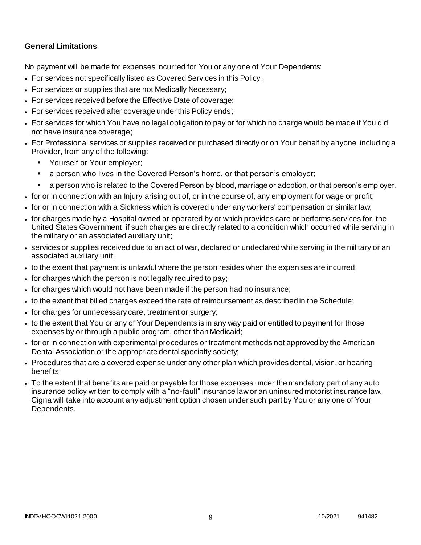### **General Limitations**

No payment will be made for expenses incurred for You or any one of Your Dependents:

- For services not specifically listed as Covered Services in this Policy;
- For services or supplies that are not Medically Necessary;
- For services received before the Effective Date of coverage;
- For services received after coverage under this Policy ends;
- For services for which You have no legal obligation to pay or for which no charge would be made if You did not have insurance coverage;
- For Professional services or supplies received or purchased directly or on Your behalf by anyone, including a Provider, from any of the following:
	- **Yourself or Your employer;**
	- a person who lives in the Covered Person's home, or that person's employer;
	- a person who is related to the Covered Person by blood, marriage or adoption, or that person's employer.
- for or in connection with an Injury arising out of, or in the course of, any employment for wage or profit;
- for or in connection with a Sickness which is covered under any workers' compensation or similar law;
- for charges made by a Hospital owned or operated by or which provides care or performs services for, the United States Government, if such charges are directly related to a condition which occurred while serving in the military or an associated auxiliary unit;
- services or supplies received due to an act of war, declared or undeclared while serving in the military or an associated auxiliary unit;
- to the extent that payment is unlawful where the person resides when the expenses are incurred;
- for charges which the person is not legally required to pay;
- for charges which would not have been made if the person had no insurance;
- to the extent that billed charges exceed the rate of reimbursement as described in the Schedule;
- for charges for unnecessary care, treatment or surgery;
- to the extent that You or any of Your Dependents is in any way paid or entitled to payment for those expenses by or through a public program, other than Medicaid;
- for or in connection with experimental procedures or treatment methods not approved by the American Dental Association or the appropriate dental specialty society;
- Procedures that are a covered expense under any other plan which provides dental, vision, or hearing benefits;
- To the extent that benefits are paid or payable for those expenses under the mandatory part of any auto insurance policy written to comply with a "no-fault" insurance law or an uninsured motorist insurance law. Cigna will take into account any adjustment option chosen under such part by You or any one of Your Dependents.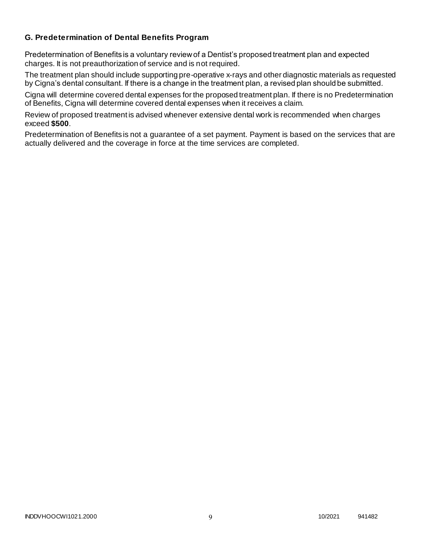### **G. Predetermination of Dental Benefits Program**

Predetermination of Benefits is a voluntary review of a Dentist's proposed treatment plan and expected charges. It is not preauthorization of service and is not required.

The treatment plan should include supporting pre-operative x-rays and other diagnostic materials as requested by Cigna's dental consultant. If there is a change in the treatment plan, a revised plan should be submitted.

Cigna will determine covered dental expenses for the proposed treatment plan. If there is no Predetermination of Benefits, Cigna will determine covered dental expenses when it receives a claim.

Review of proposed treatment is advised whenever extensive dental work is recommended when charges exceed **\$500**.

Predetermination of Benefits is not a guarantee of a set payment. Payment is based on the services that are actually delivered and the coverage in force at the time services are completed.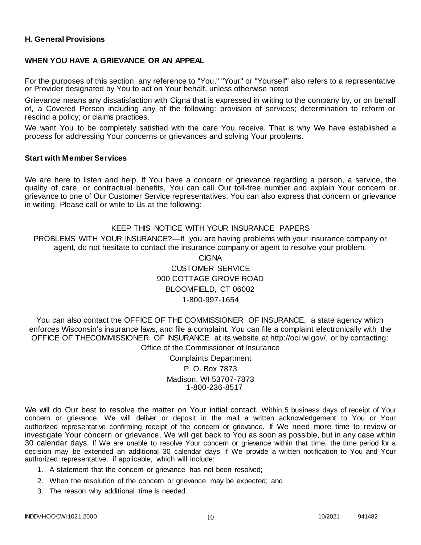### **H. General Provisions**

#### **WHEN YOU HAVE A GRIEVANCE OR AN APPEAL**

For the purposes of this section, any reference to "You," "Your" or "Yourself" also refers to a representative or Provider designated by You to act on Your behalf, unless otherwise noted.

Grievance means any dissatisfaction with Cigna that is expressed in writing to the company by, or on behalf of, a Covered Person including any of the following: provision of services; determination to reform or rescind a policy; or claims practices.

We want You to be completely satisfied with the care You receive. That is why We have established a process for addressing Your concerns or grievances and solving Your problems.

#### **Start with Member Services**

We are here to listen and help. If You have a concern or grievance regarding a person, a service, the quality of care, or contractual benefits, You can call Our toll-free number and explain Your concern or grievance to one of Our Customer Service representatives. You can also express that concern or grievance in writing. Please call or write to Us at the following:

#### KEEP THIS NOTICE WITH YOUR INSURANCE PAPERS

PROBLEMS WITH YOUR INSURANCE?—If you are having problems with your insurance company or agent, do not hesitate to contact the insurance company or agent to resolve your problem.

> CIGNA CUSTOMER SERVICE 900 COTTAGE GROVE ROAD BLOOMFIELD, CT 06002 1-800-997-1654

You can also contact the OFFICE OF THE COMMISSIONER OF INSURANCE, a state agency which enforces Wisconsin's insurance laws, and file a complaint. You can file a complaint electronically with the OFFICE OF THECOMMISSIONER OF INSURANCE at its website at http://oci.wi.gov/, or by contacting: Office of the Commissioner of Insurance

> Complaints Department P. O. Box 7873 Madison, WI 53707-7873 1-800-236-8517

We will do Our best to resolve the matter on Your initial contact. Within 5 business days of receipt of Your concern or grievance, We will deliver or deposit in the mail a written acknowledgement to You or Your authorized representative confirming receipt of the concern or grievance. If We need more time to review or investigate Your concern or grievance, We will get back to You as soon as possible, but in any case within 30 calendar days. If We are unable to resolve Your concern or grievance within that time, the time period for a decision may be extended an additional 30 calendar days if We provide a written notification to You and Your authorized representative, if applicable, which will include:

- 1. A statement that the concern or grievance has not been resolved;
- 2. When the resolution of the concern or grievance may be expected; and
- 3. The reason why additional time is needed.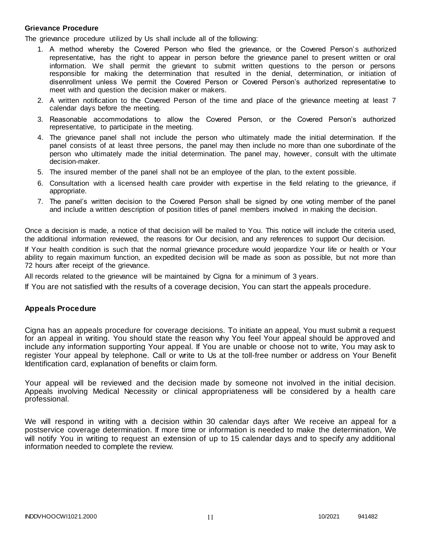#### **Grievance Procedure**

The grievance procedure utilized by Us shall include all of the following:

- 1. A method whereby the Covered Person who filed the grievance, or the Covered Person's authorized representative, has the right to appear in person before the grievance panel to present written or oral information. We shall permit the grievant to submit written questions to the person or persons responsible for making the determination that resulted in the denial, determination, or initiation of disenrollment unless We permit the Covered Person or Covered Person's authorized representative to meet with and question the decision maker or makers.
- 2. A written notification to the Covered Person of the time and place of the grievance meeting at least 7 calendar days before the meeting.
- 3. Reasonable accommodations to allow the Covered Person, or the Covered Person's authorized representative, to participate in the meeting.
- 4. The grievance panel shall not include the person who ultimately made the initial determination. If the panel consists of at least three persons, the panel may then include no more than one subordinate of the person who ultimately made the initial determination. The panel may, however, consult with the ultimate decision-maker.
- 5. The insured member of the panel shall not be an employee of the plan, to the extent possible.
- 6. Consultation with a licensed health care provider with expertise in the field relating to the grievance, if appropriate.
- 7. The panel's written decision to the Covered Person shall be signed by one voting member of the panel and include a written description of position titles of panel members involved in making the decision.

Once a decision is made, a notice of that decision will be mailed to You. This notice will include the criteria used, the additional information reviewed, the reasons for Our decision, and any references to support Our decision.

If Your health condition is such that the normal grievance procedure would jeopardize Your life or health or Your ability to regain maximum function, an expedited decision will be made as soon as possible, but not more than 72 hours after receipt of the grievance.

All records related to the grievance will be maintained by Cigna for a minimum of 3 years.

If You are not satisfied with the results of a coverage decision, You can start the appeals procedure.

#### **Appeals Procedure**

Cigna has an appeals procedure for coverage decisions. To initiate an appeal, You must submit a request for an appeal in writing. You should state the reason why You feel Your appeal should be approved and include any information supporting Your appeal. If You are unable or choose not to write, You may ask to register Your appeal by telephone. Call or write to Us at the toll-free number or address on Your Benefit Identification card, explanation of benefits or claim form.

Your appeal will be reviewed and the decision made by someone not involved in the initial decision. Appeals involving Medical Necessity or clinical appropriateness will be considered by a health care professional.

We will respond in writing with a decision within 30 calendar days after We receive an appeal for a postservice coverage determination. If more time or information is needed to make the determination, We will notify You in writing to request an extension of up to 15 calendar days and to specify any additional information needed to complete the review.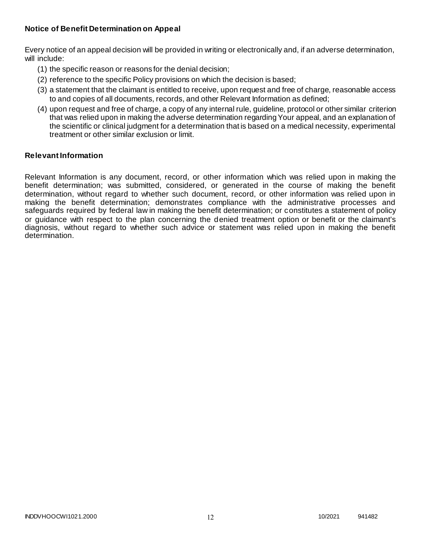### **Notice of Benefit Determination on Appeal**

Every notice of an appeal decision will be provided in writing or electronically and, if an adverse determination, will include:

- (1) the specific reason or reasons for the denial decision;
- (2) reference to the specific Policy provisions on which the decision is based;
- (3) a statement that the claimant is entitled to receive, upon request and free of charge, reasonable access to and copies of all documents, records, and other Relevant Information as defined;
- (4) upon request and free of charge, a copy of any internal rule, guideline, protocol or other similar criterion that was relied upon in making the adverse determination regarding Your appeal, and an explanation of the scientific or clinical judgment for a determination that is based on a medical necessity, experimental treatment or other similar exclusion or limit.

#### **Relevant Information**

Relevant Information is any document, record, or other information which was relied upon in making the benefit determination; was submitted, considered, or generated in the course of making the benefit determination, without regard to whether such document, record, or other information was relied upon in making the benefit determination; demonstrates compliance with the administrative processes and safeguards required by federal law in making the benefit determination; or constitutes a statement of policy or guidance with respect to the plan concerning the denied treatment option or benefit or the claimant's diagnosis, without regard to whether such advice or statement was relied upon in making the benefit determination.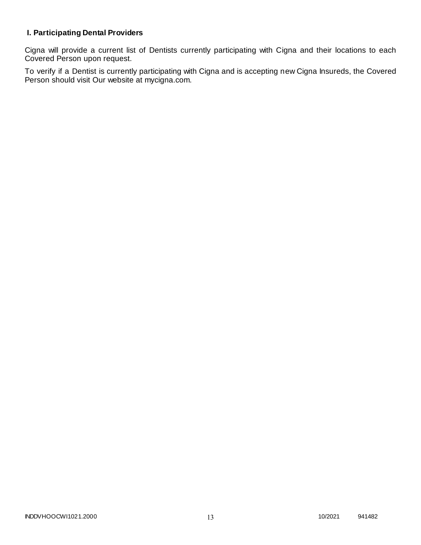# **I. Participating Dental Providers**

Cigna will provide a current list of Dentists currently participating with Cigna and their locations to each Covered Person upon request.

To verify if a Dentist is currently participating with Cigna and is accepting new Cigna Insureds, the Covered Person should visit Our website at mycigna.com.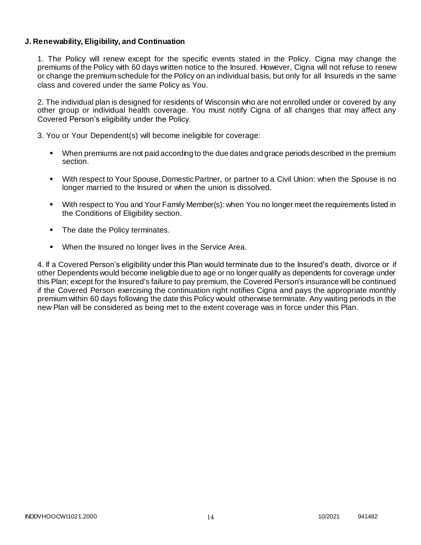### **J. Renewability, Eligibility, and Continuation**

1. The Policy will renew except for the specific events stated in the Policy. Cigna may change the premiums of the Policy with 60 days written notice to the Insured. However, Cigna will not refuse to renew or change the premium schedule for the Policy on an individual basis, but only for all Insureds in the same class and covered under the same Policy as You.

2. The individual plan is designed for residents of Wisconsin who are not enrolled under or covered by any other group or individual health coverage. You must notify Cigna of all changes that may affect any Covered Person's eligibility under the Policy.

3. You or Your Dependent(s) will become ineligible for coverage:

- When premiums are not paid according to the due dates and grace periods described in the premium section.
- With respect to Your Spouse, Domestic Partner, or partner to a Civil Union: when the Spouse is no longer married to the Insured or when the union is dissolved.
- With respect to You and Your Family Member(s): when You no longer meet the requirements listed in the Conditions of Eligibility section.
- The date the Policy terminates.
- When the Insured no longer lives in the Service Area.

4. If a Covered Person's eligibility under this Plan would terminate due to the Insured's death, divorce or if other Dependents would become ineligible due to age or no longer qualify as dependents for coverage under this Plan; except for the Insured's failure to pay premium, the Covered Person's insurance will be continued if the Covered Person exercising the continuation right notifies Cigna and pays the appropriate monthly premium within 60 days following the date this Policy would otherwise terminate. Any waiting periods in the new Plan will be considered as being met to the extent coverage was in force under this Plan.